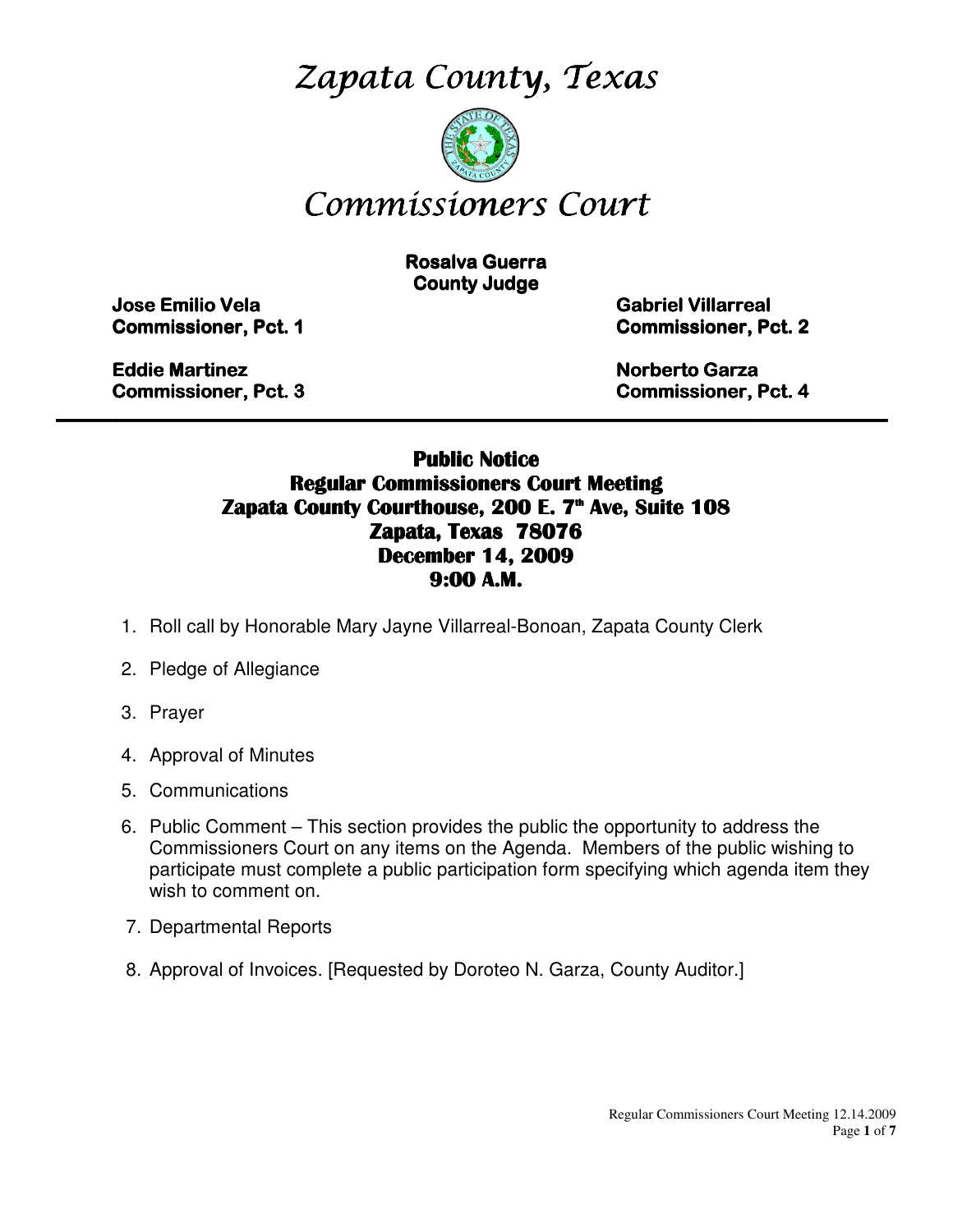Zapata County, Texas



# Commissioners Court

**Rosalva Guerra County Judge** 

Jose Emilio Vela Emilio Vela Vela Gabriel Villarreal Villarreal Villarreal

**Commissioner, Pct. 1 Commissioner, Pct. 2** 

Eddie Martinez **Eddie Martinez** Norberto Garza Garza Garza Garza Garza Garza Garza Garza Garza Garza Garza Garza Garza Garza Garza Garza Garza Garza Garza Garza Garza Garza Garza Garza Garza Garza Garza Garza Garza Garza G

Commissioner, Pct. 3 3 Commissioner, Pct. 4

### Public Notice Regular Commissioners Court Meeting Zapata County Courthouse, 200 E. 7<sup>th</sup> Ave, Suite 108 Zapata, Texas 78076 December 14, 2009 9:00 A.M.

\_\_\_\_\_\_\_\_\_\_\_\_\_\_\_\_\_\_\_\_\_\_\_\_\_\_\_\_\_\_\_\_\_\_\_\_\_\_\_\_\_\_\_\_\_\_\_\_\_\_\_\_\_\_\_\_\_\_\_\_\_\_\_\_\_\_\_\_\_\_\_\_\_\_\_\_\_\_\_\_\_\_\_\_\_\_\_\_\_

- 1. Roll call by Honorable Mary Jayne Villarreal-Bonoan, Zapata County Clerk
- 2. Pledge of Allegiance
- 3. Prayer
- 4. Approval of Minutes
- 5. Communications
- 6. Public Comment This section provides the public the opportunity to address the Commissioners Court on any items on the Agenda. Members of the public wishing to participate must complete a public participation form specifying which agenda item they wish to comment on.
- 7. Departmental Reports
- 8. Approval of Invoices. [Requested by Doroteo N. Garza, County Auditor.]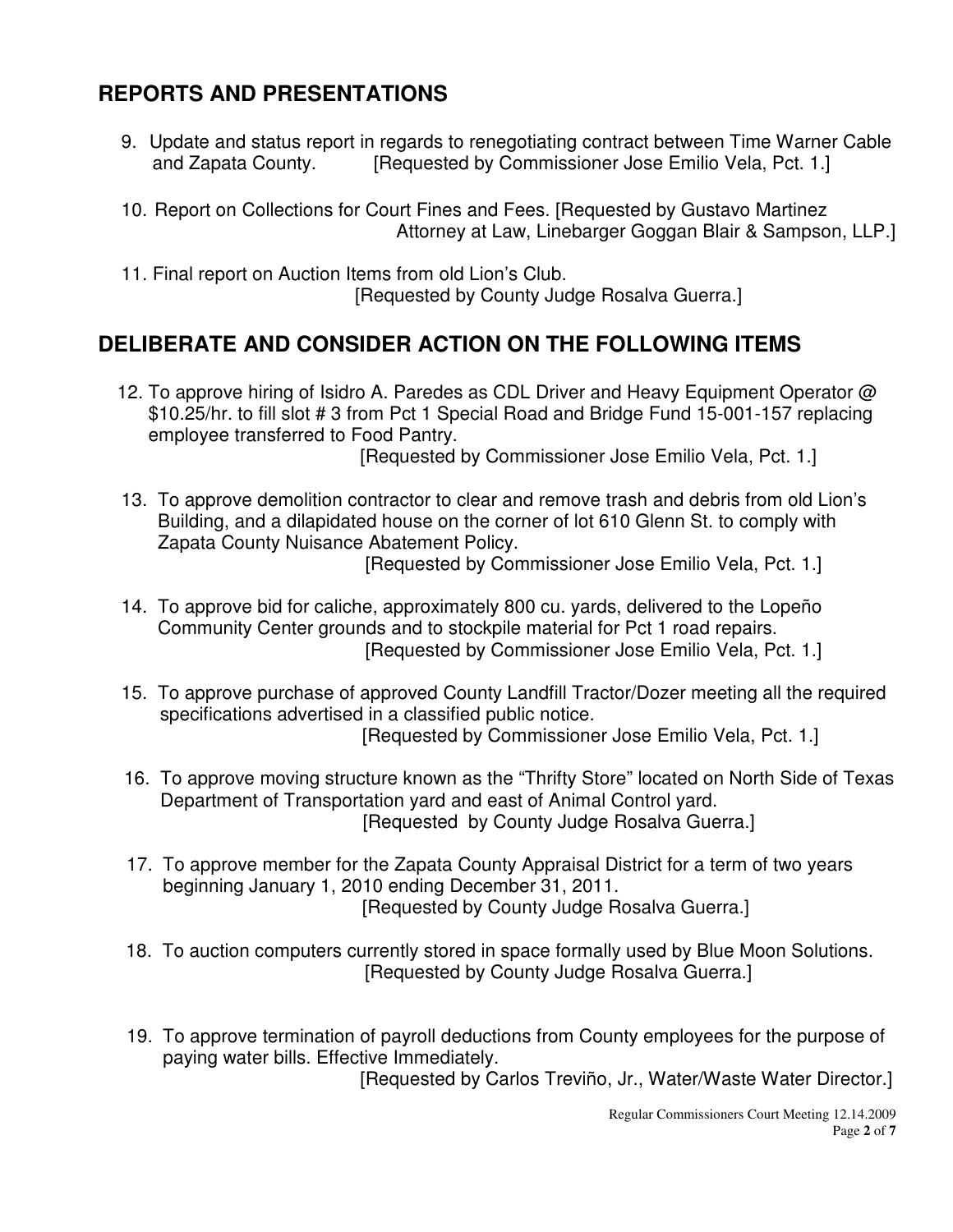# **REPORTS AND PRESENTATIONS**

- 9. Update and status report in regards to renegotiating contract between Time Warner Cable and Zapata County. **[Requested by Commissioner Jose Emilio Vela, Pct. 1.]**
- 10. Report on Collections for Court Fines and Fees. [Requested by Gustavo Martinez Attorney at Law, Linebarger Goggan Blair & Sampson, LLP.]
- 11. Final report on Auction Items from old Lion's Club. [Requested by County Judge Rosalva Guerra.]

## **DELIBERATE AND CONSIDER ACTION ON THE FOLLOWING ITEMS**

- 12. To approve hiring of Isidro A. Paredes as CDL Driver and Heavy Equipment Operator @ \$10.25/hr. to fill slot # 3 from Pct 1 Special Road and Bridge Fund 15-001-157 replacing employee transferred to Food Pantry. [Requested by Commissioner Jose Emilio Vela, Pct. 1.]
- 13. To approve demolition contractor to clear and remove trash and debris from old Lion's Building, and a dilapidated house on the corner of lot 610 Glenn St. to comply with Zapata County Nuisance Abatement Policy.

[Requested by Commissioner Jose Emilio Vela, Pct. 1.]

- 14. To approve bid for caliche, approximately 800 cu. yards, delivered to the Lopeño Community Center grounds and to stockpile material for Pct 1 road repairs. [Requested by Commissioner Jose Emilio Vela, Pct. 1.]
- 15. To approve purchase of approved County Landfill Tractor/Dozer meeting all the required specifications advertised in a classified public notice. [Requested by Commissioner Jose Emilio Vela, Pct. 1.]
- 16. To approve moving structure known as the "Thrifty Store" located on North Side of Texas Department of Transportation yard and east of Animal Control yard. [Requested by County Judge Rosalva Guerra.]
- 17. To approve member for the Zapata County Appraisal District for a term of two years beginning January 1, 2010 ending December 31, 2011. [Requested by County Judge Rosalva Guerra.]
- 18. To auction computers currently stored in space formally used by Blue Moon Solutions. [Requested by County Judge Rosalva Guerra.]
- 19. To approve termination of payroll deductions from County employees for the purpose of paying water bills. Effective Immediately.

[Requested by Carlos Treviño, Jr., Water/Waste Water Director.]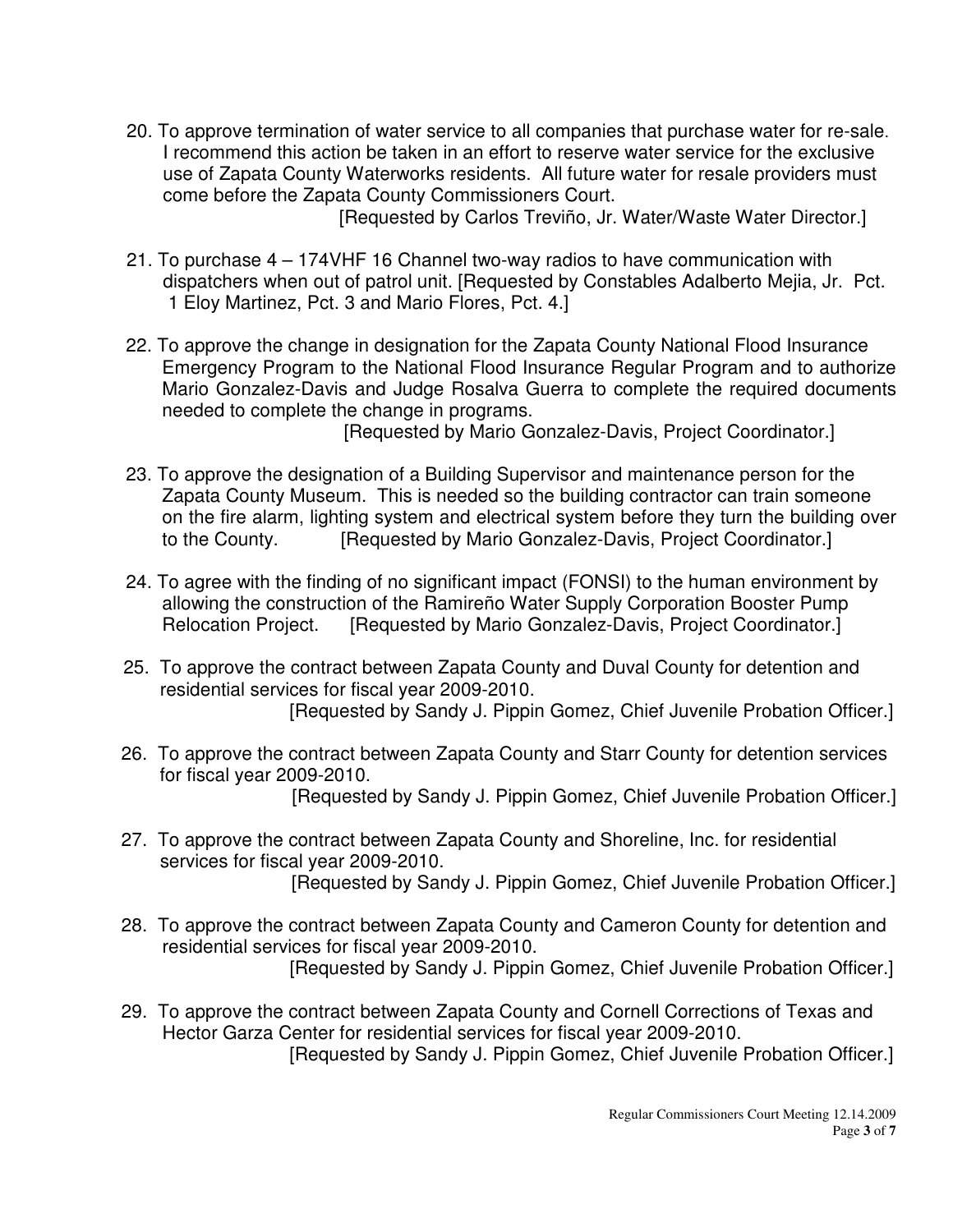20. To approve termination of water service to all companies that purchase water for re-sale. I recommend this action be taken in an effort to reserve water service for the exclusive use of Zapata County Waterworks residents. All future water for resale providers must come before the Zapata County Commissioners Court.

[Requested by Carlos Treviño, Jr. Water/Waste Water Director.]

- 21. To purchase 4 174VHF 16 Channel two-way radios to have communication with dispatchers when out of patrol unit. [Requested by Constables Adalberto Mejia, Jr. Pct. 1 Eloy Martinez, Pct. 3 and Mario Flores, Pct. 4.]
- 22. To approve the change in designation for the Zapata County National Flood Insurance Emergency Program to the National Flood Insurance Regular Program and to authorize Mario Gonzalez-Davis and Judge Rosalva Guerra to complete the required documents needed to complete the change in programs.

[Requested by Mario Gonzalez-Davis, Project Coordinator.]

- 23. To approve the designation of a Building Supervisor and maintenance person for the Zapata County Museum. This is needed so the building contractor can train someone on the fire alarm, lighting system and electrical system before they turn the building over to the County. [Requested by Mario Gonzalez-Davis, Project Coordinator.]
- 24. To agree with the finding of no significant impact (FONSI) to the human environment by allowing the construction of the Ramireño Water Supply Corporation Booster Pump Relocation Project. [Requested by Mario Gonzalez-Davis, Project Coordinator.]
- 25. To approve the contract between Zapata County and Duval County for detention and residential services for fiscal year 2009-2010. [Requested by Sandy J. Pippin Gomez, Chief Juvenile Probation Officer.]
- 26. To approve the contract between Zapata County and Starr County for detention services for fiscal year 2009-2010. [Requested by Sandy J. Pippin Gomez, Chief Juvenile Probation Officer.]
- 27. To approve the contract between Zapata County and Shoreline, Inc. for residential services for fiscal year 2009-2010. [Requested by Sandy J. Pippin Gomez, Chief Juvenile Probation Officer.]
- 28. To approve the contract between Zapata County and Cameron County for detention and residential services for fiscal year 2009-2010. [Requested by Sandy J. Pippin Gomez, Chief Juvenile Probation Officer.]
- 29. To approve the contract between Zapata County and Cornell Corrections of Texas and Hector Garza Center for residential services for fiscal year 2009-2010. [Requested by Sandy J. Pippin Gomez, Chief Juvenile Probation Officer.]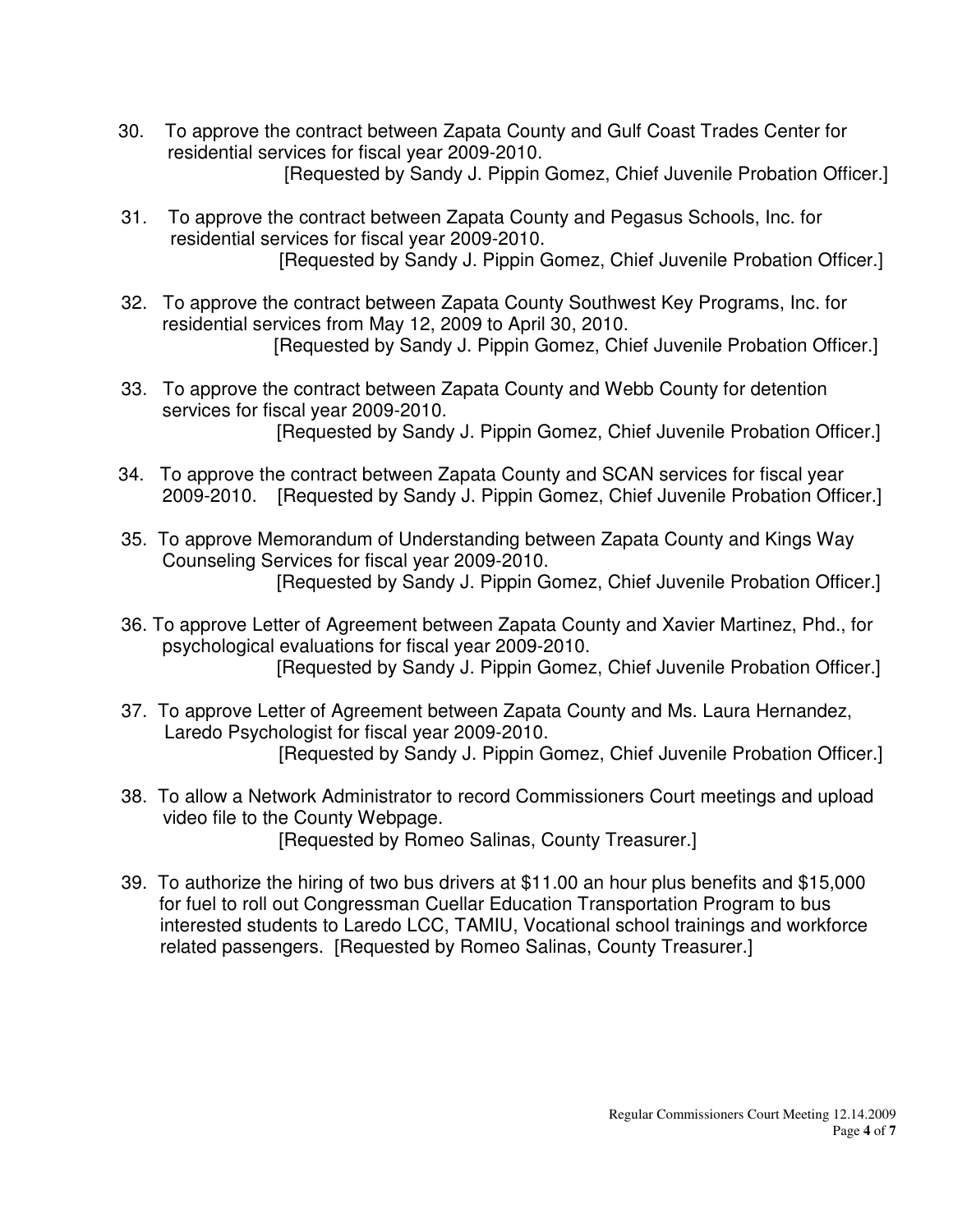- 30. To approve the contract between Zapata County and Gulf Coast Trades Center for residential services for fiscal year 2009-2010. [Requested by Sandy J. Pippin Gomez, Chief Juvenile Probation Officer.]
- 31. To approve the contract between Zapata County and Pegasus Schools, Inc. for residential services for fiscal year 2009-2010. [Requested by Sandy J. Pippin Gomez, Chief Juvenile Probation Officer.]
- 32. To approve the contract between Zapata County Southwest Key Programs, Inc. for residential services from May 12, 2009 to April 30, 2010. [Requested by Sandy J. Pippin Gomez, Chief Juvenile Probation Officer.]
- 33. To approve the contract between Zapata County and Webb County for detention services for fiscal year 2009-2010. [Requested by Sandy J. Pippin Gomez, Chief Juvenile Probation Officer.]
- 34. To approve the contract between Zapata County and SCAN services for fiscal year 2009-2010. [Requested by Sandy J. Pippin Gomez, Chief Juvenile Probation Officer.]
- 35. To approve Memorandum of Understanding between Zapata County and Kings Way Counseling Services for fiscal year 2009-2010. [Requested by Sandy J. Pippin Gomez, Chief Juvenile Probation Officer.]
- 36. To approve Letter of Agreement between Zapata County and Xavier Martinez, Phd., for psychological evaluations for fiscal year 2009-2010. [Requested by Sandy J. Pippin Gomez, Chief Juvenile Probation Officer.]
- 37. To approve Letter of Agreement between Zapata County and Ms. Laura Hernandez, Laredo Psychologist for fiscal year 2009-2010. [Requested by Sandy J. Pippin Gomez, Chief Juvenile Probation Officer.]
- 38. To allow a Network Administrator to record Commissioners Court meetings and upload video file to the County Webpage. [Requested by Romeo Salinas, County Treasurer.]
- 39. To authorize the hiring of two bus drivers at \$11.00 an hour plus benefits and \$15,000 for fuel to roll out Congressman Cuellar Education Transportation Program to bus interested students to Laredo LCC, TAMIU, Vocational school trainings and workforce related passengers. [Requested by Romeo Salinas, County Treasurer.]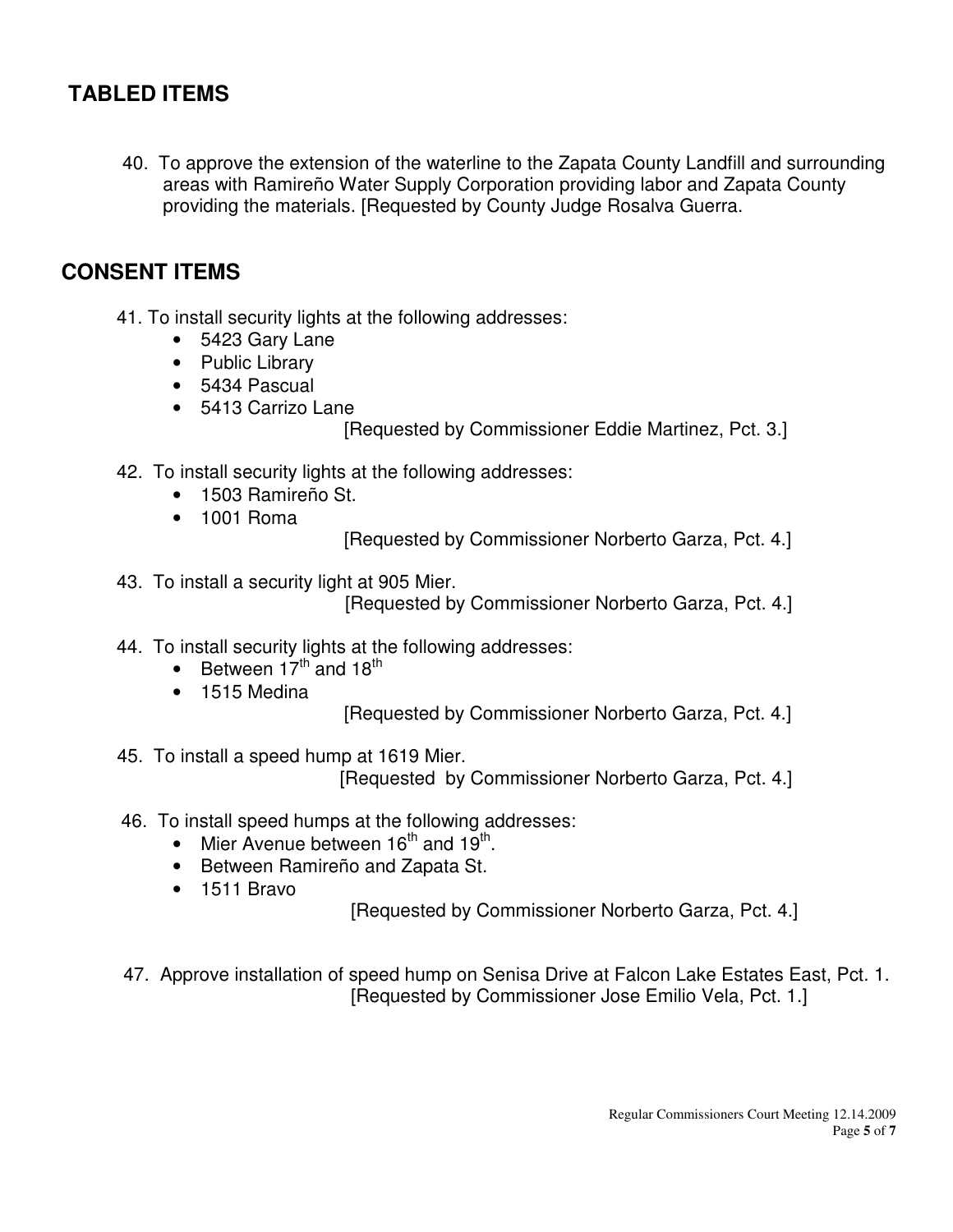## **TABLED ITEMS**

 40. To approve the extension of the waterline to the Zapata County Landfill and surrounding areas with Ramireño Water Supply Corporation providing labor and Zapata County providing the materials. [Requested by County Judge Rosalva Guerra.

## **CONSENT ITEMS**

- 41. To install security lights at the following addresses:
	- 5423 Gary Lane
	- Public Library
	- 5434 Pascual
	- 5413 Carrizo Lane
		- [Requested by Commissioner Eddie Martinez, Pct. 3.]
- 42. To install security lights at the following addresses:
	- 1503 Ramireño St.
	- 1001 Roma

[Requested by Commissioner Norberto Garza, Pct. 4.]

43. To install a security light at 905 Mier.

[Requested by Commissioner Norberto Garza, Pct. 4.]

- 44. To install security lights at the following addresses:
	- Between  $17^{th}$  and  $18^{th}$
	- 1515 Medina
- [Requested by Commissioner Norberto Garza, Pct. 4.]
- 45. To install a speed hump at 1619 Mier.

[Requested by Commissioner Norberto Garza, Pct. 4.]

- 46. To install speed humps at the following addresses:
	- Mier Avenue between  $16^{th}$  and  $19^{th}$ .
	- Between Ramireño and Zapata St.
	- 1511 Bravo

[Requested by Commissioner Norberto Garza, Pct. 4.]

 47. Approve installation of speed hump on Senisa Drive at Falcon Lake Estates East, Pct. 1. [Requested by Commissioner Jose Emilio Vela, Pct. 1.]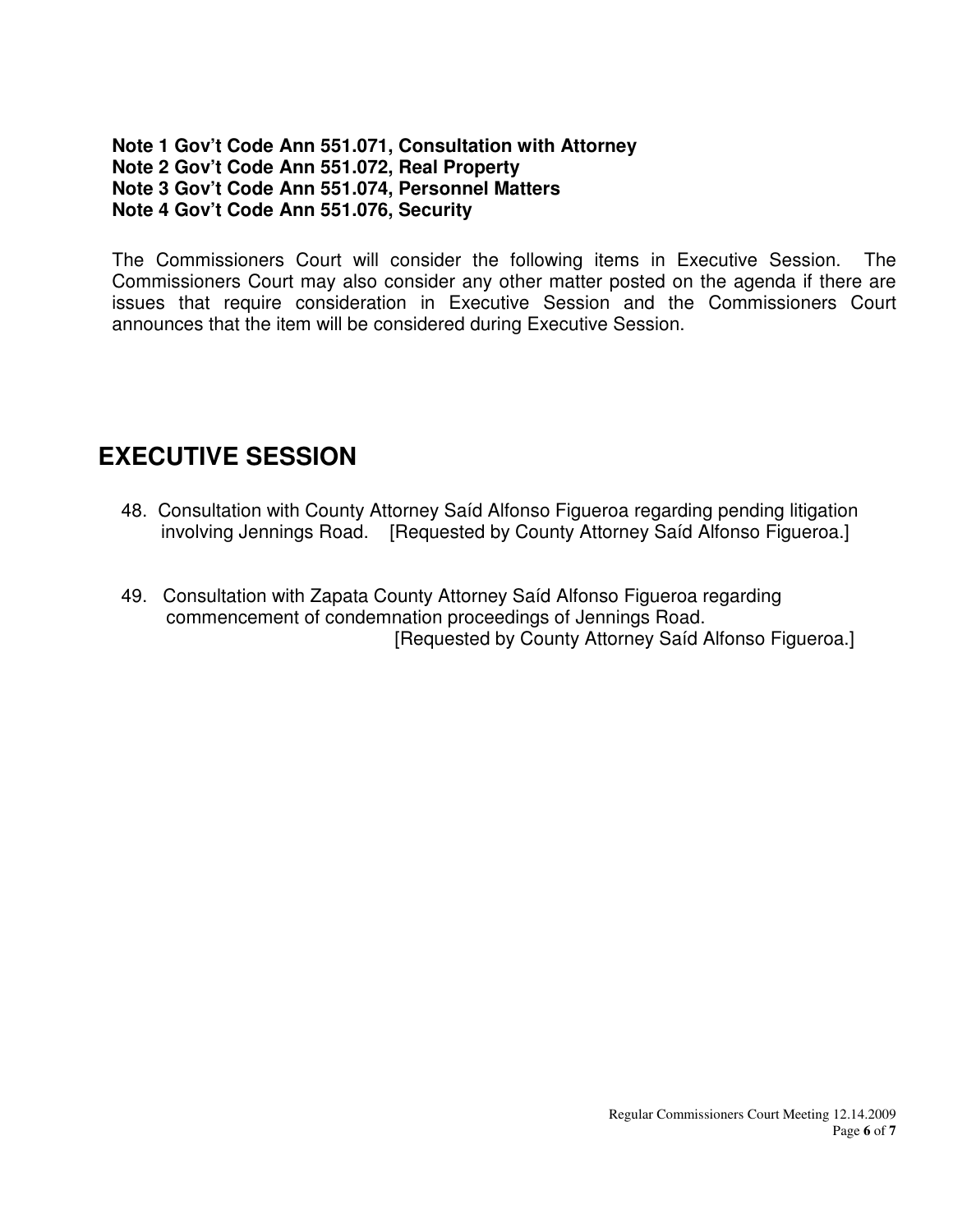#### **Note 1 Gov't Code Ann 551.071, Consultation with Attorney Note 2 Gov't Code Ann 551.072, Real Property Note 3 Gov't Code Ann 551.074, Personnel Matters Note 4 Gov't Code Ann 551.076, Security**

The Commissioners Court will consider the following items in Executive Session. The Commissioners Court may also consider any other matter posted on the agenda if there are issues that require consideration in Executive Session and the Commissioners Court announces that the item will be considered during Executive Session.

# **EXECUTIVE SESSION**

- 48. Consultation with County Attorney Saíd Alfonso Figueroa regarding pending litigation involving Jennings Road. [Requested by County Attorney Saíd Alfonso Figueroa.]
- 49. Consultation with Zapata County Attorney Saíd Alfonso Figueroa regarding commencement of condemnation proceedings of Jennings Road. [Requested by County Attorney Saíd Alfonso Figueroa.]